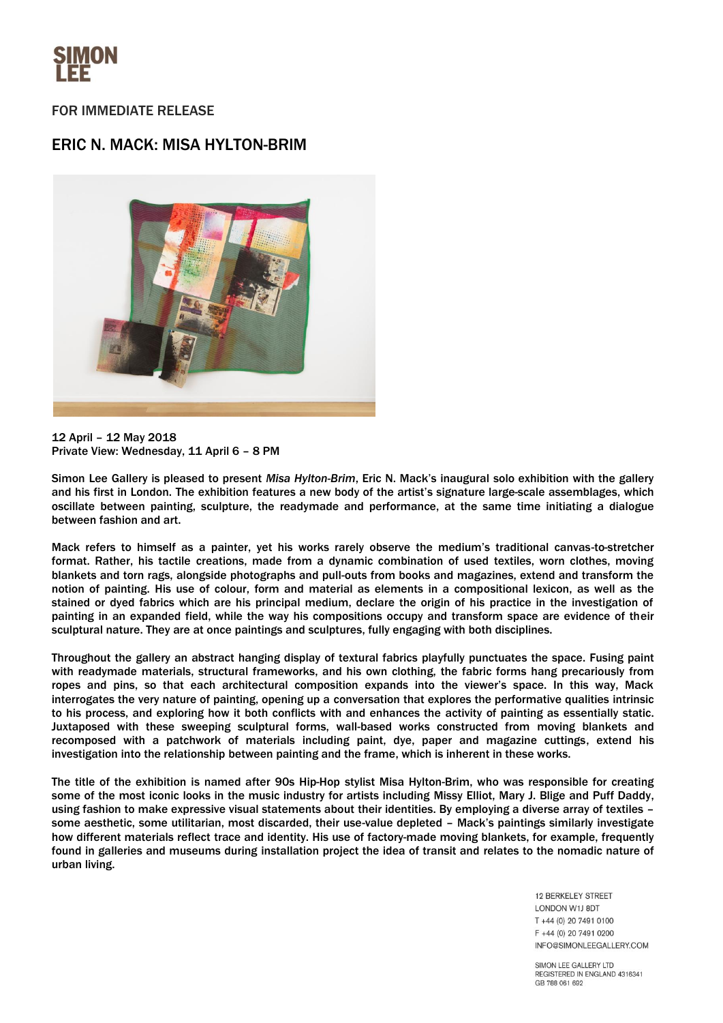

## FOR IMMEDIATE RELEASE

# ERIC N. MACK: MISA HYLTON-BRIM



12 April – 12 May 2018 Private View: Wednesday, 11 April 6 – 8 PM

Simon Lee Gallery is pleased to present *Misa Hylton-Brim*, Eric N. Mack's inaugural solo exhibition with the gallery and his first in London. The exhibition features a new body of the artist's signature large-scale assemblages, which oscillate between painting, sculpture, the readymade and performance, at the same time initiating a dialogue between fashion and art.

Mack refers to himself as a painter, yet his works rarely observe the medium's traditional canvas-to-stretcher format. Rather, his tactile creations, made from a dynamic combination of used textiles, worn clothes, moving blankets and torn rags, alongside photographs and pull-outs from books and magazines, extend and transform the notion of painting. His use of colour, form and material as elements in a compositional lexicon, as well as the stained or dyed fabrics which are his principal medium, declare the origin of his practice in the investigation of painting in an expanded field, while the way his compositions occupy and transform space are evidence of their sculptural nature. They are at once paintings and sculptures, fully engaging with both disciplines.

Throughout the gallery an abstract hanging display of textural fabrics playfully punctuates the space. Fusing paint with readymade materials, structural frameworks, and his own clothing, the fabric forms hang precariously from ropes and pins, so that each architectural composition expands into the viewer's space. In this way, Mack interrogates the very nature of painting, opening up a conversation that explores the performative qualities intrinsic to his process, and exploring how it both conflicts with and enhances the activity of painting as essentially static. Juxtaposed with these sweeping sculptural forms, wall-based works constructed from moving blankets and recomposed with a patchwork of materials including paint, dye, paper and magazine cuttings, extend his investigation into the relationship between painting and the frame, which is inherent in these works.

The title of the exhibition is named after 90s Hip-Hop stylist Misa Hylton-Brim, who was responsible for creating some of the most iconic looks in the music industry for artists including Missy Elliot, Mary J. Blige and Puff Daddy, using fashion to make expressive visual statements about their identities. By employing a diverse array of textiles – some aesthetic, some utilitarian, most discarded, their use-value depleted – Mack's paintings similarly investigate how different materials reflect trace and identity. His use of factory-made moving blankets, for example, frequently found in galleries and museums during installation project the idea of transit and relates to the nomadic nature of urban living.

> **12 BERKELEY STREET** LONDON W1J 8DT T +44 (0) 20 7491 0100 F +44 (0) 20 7491 0200 INFO@SIMONLEEGALLERY.COM

SIMON LEE GALLERY LTD REGISTERED IN ENGLAND 4316341 GB 788 061 692